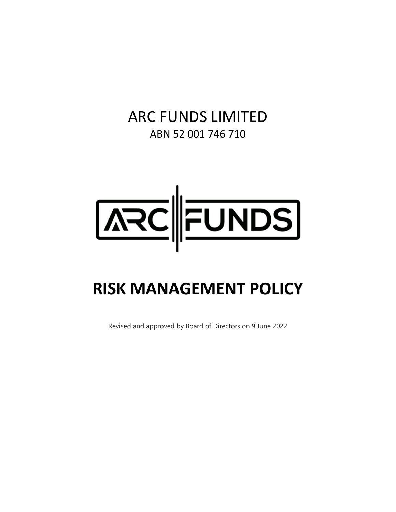# ARC FUNDS LIMITED ABN 52 001 746 710



# **RISK MANAGEMENT POLICY**

Revised and approved by Board of Directors on 9 June 2022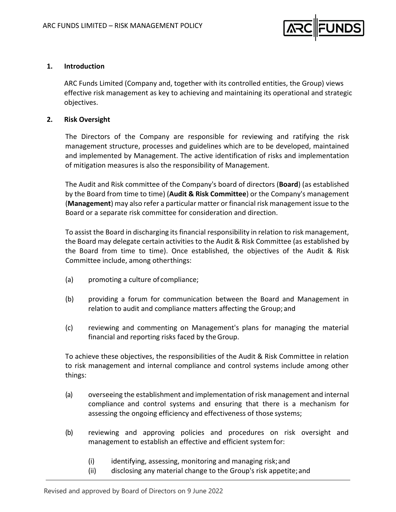

#### **1. Introduction**

ARC Funds Limited (Company and, together with its controlled entities, the Group) views effective risk management as key to achieving and maintaining its operational and strategic objectives.

#### **2. Risk Oversight**

The Directors of the Company are responsible for reviewing and ratifying the risk management structure, processes and guidelines which are to be developed, maintained and implemented by Management. The active identification of risks and implementation of mitigation measures is also the responsibility of Management.

The Audit and Risk committee of the Company's board of directors (**Board**) (as established by the Board from time to time) (**Audit & Risk Committee**) or the Company's management (**Management**) may also refer a particular matter or financial risk management issue to the Board or a separate risk committee for consideration and direction.

To assist the Board in discharging its financial responsibility in relation to risk management, the Board may delegate certain activities to the Audit & Risk Committee (as established by the Board from time to time). Once established, the objectives of the Audit & Risk Committee include, among otherthings:

- (a) promoting a culture of compliance;
- (b) providing a forum for communication between the Board and Management in relation to audit and compliance matters affecting the Group; and
- (c) reviewing and commenting on Management's plans for managing the material financial and reporting risks faced by the Group.

To achieve these objectives, the responsibilities of the Audit & Risk Committee in relation to risk management and internal compliance and control systems include among other things:

- (a) overseeing the establishment and implementation of risk management and internal compliance and control systems and ensuring that there is a mechanism for assessing the ongoing efficiency and effectiveness of those systems;
- (b) reviewing and approving policies and procedures on risk oversight and management to establish an effective and efficient system for:
	- (i) identifying, assessing, monitoring and managing risk;and
	- (ii) disclosing any material change to the Group's risk appetite;and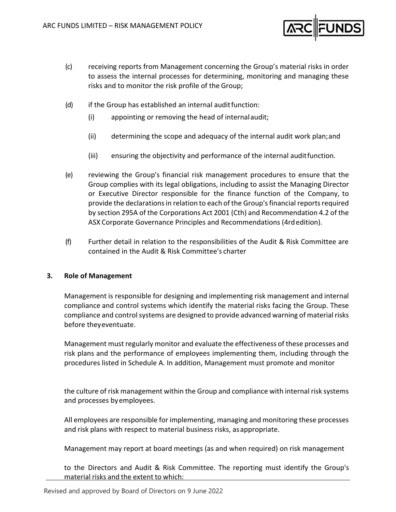

- (c) receiving reports from Management concerning the Group's material risks in order to assess the internal processes for determining, monitoring and managing these risks and to monitor the risk profile of the Group;
- (d) if the Group has established an internal audit function:
	- (i) appointing or removing the head of internalaudit;
	- (ii) determining the scope and adequacy of the internal audit work plan;and
	- (iii) ensuring the objectivity and performance of the internal auditfunction.
- (e) reviewing the Group's financial risk management procedures to ensure that the Group complies with its legal obligations, including to assist the Managing Director or Executive Director responsible for the finance function of the Company, to provide the declarations in relation to each of the Group's financial reports required by section 295A of the Corporations Act 2001 (Cth) and Recommendation 4.2 of the ASX Corporate Governance Principles and Recommendations (4rdedition).
- (f) Further detail in relation to the responsibilities of the Audit & Risk Committee are contained in the Audit & Risk Committee's charter

### **3. Role of Management**

Management is responsible for designing and implementing risk management and internal compliance and control systems which identify the material risks facing the Group. These compliance and control systems are designed to provide advanced warning of material risks before theyeventuate.

Management must regularly monitor and evaluate the effectiveness of these processes and risk plans and the performance of employees implementing them, including through the procedures listed in Schedule A. In addition, Management must promote and monitor

the culture of risk management within the Group and compliance with internal risk systems and processes byemployees.

All employees are responsible for implementing, managing and monitoring these processes and risk plans with respect to material business risks, asappropriate.

Management may report at board meetings (as and when required) on risk management

to the Directors and Audit & Risk Committee. The reporting must identify the Group's material risks and the extent to which: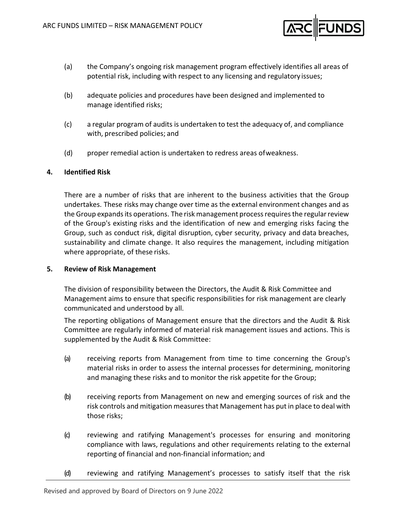

- (a) the Company's ongoing risk management program effectively identifies all areas of potential risk, including with respect to any licensing and regulatory issues;
- (b) adequate policies and procedures have been designed and implemented to manage identified risks;
- (c) a regular program of audits is undertaken to test the adequacy of, and compliance with, prescribed policies; and
- (d) proper remedial action is undertaken to redress areas ofweakness.

## **4. Identified Risk**

There are a number of risks that are inherent to the business activities that the Group undertakes. These risks may change over time as the external environment changes and as the Group expands its operations. The risk management process requires the regular review of the Group's existing risks and the identification of new and emerging risks facing the Group, such as conduct risk, digital disruption, cyber security, privacy and data breaches, sustainability and climate change. It also requires the management, including mitigation where appropriate, of these risks.

#### **5. Review of Risk Management**

The division of responsibility between the Directors, the Audit & Risk Committee and Management aims to ensure that specific responsibilities for risk management are clearly communicated and understood by all.

The reporting obligations of Management ensure that the directors and the Audit & Risk Committee are regularly informed of material risk management issues and actions. This is supplemented by the Audit & Risk Committee:

- (a) receiving reports from Management from time to time concerning the Group's material risks in order to assess the internal processes for determining, monitoring and managing these risks and to monitor the risk appetite for the Group;
- (b) receiving reports from Management on new and emerging sources of risk and the risk controls and mitigation measuresthat Management has put in place to deal with those risks;
- (c) reviewing and ratifying Management's processes for ensuring and monitoring compliance with laws, regulations and other requirements relating to the external reporting of financial and non‐financial information; and
- (d) reviewing and ratifying Management's processes to satisfy itself that the risk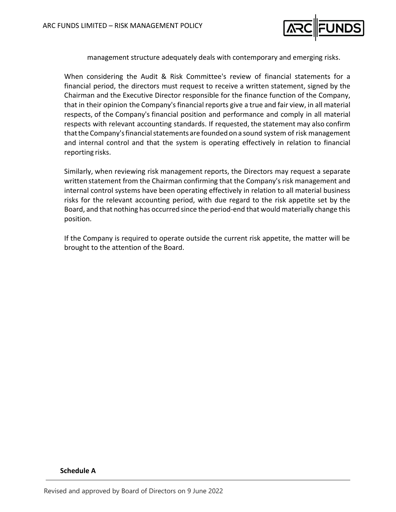

management structure adequately deals with contemporary and emerging risks.

When considering the Audit & Risk Committee's review of financial statements for a financial period, the directors must request to receive a written statement, signed by the Chairman and the Executive Director responsible for the finance function of the Company, that in their opinion the Company'sfinancial reports give a true and fair view, in all material respects, of the Company's financial position and performance and comply in all material respects with relevant accounting standards. If requested, the statement may also confirm that the Company's financial statements are founded on a sound system of risk management and internal control and that the system is operating effectively in relation to financial reporting risks.

Similarly, when reviewing risk management reports, the Directors may request a separate written statement from the Chairman confirming that the Company's risk management and internal control systems have been operating effectively in relation to all material business risks for the relevant accounting period, with due regard to the risk appetite set by the Board, and that nothing has occurred since the period‐end that would materially change this position.

If the Company is required to operate outside the current risk appetite, the matter will be brought to the attention of the Board.

#### **Schedule A**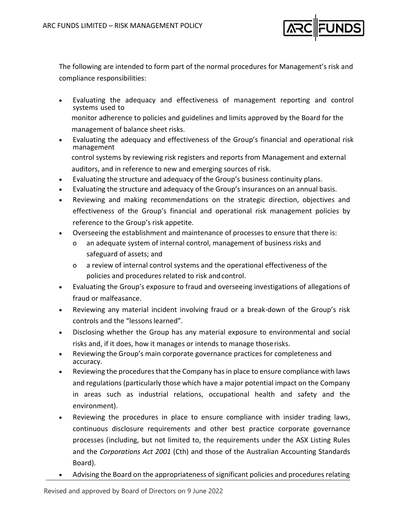

The following are intended to form part of the normal procedures for Management's risk and compliance responsibilities:

- Evaluating the adequacy and effectiveness of management reporting and control systems used to monitor adherence to policies and guidelines and limits approved by the Board for the
	- management of balance sheet risks.
- Evaluating the adequacy and effectiveness of the Group's financial and operational risk management control systems by reviewing risk registers and reports from Management and external
	- auditors, and in reference to new and emerging sources of risk.
- Evaluating the structure and adequacy of the Group's business continuity plans.
- Evaluating the structure and adequacy of the Group's insurances on an annual basis.
- Reviewing and making recommendations on the strategic direction, objectives and effectiveness of the Group's financial and operational risk management policies by reference to the Group's risk appetite.
- Overseeing the establishment and maintenance of processes to ensure that there is:
	- o an adequate system of internal control, management of business risks and safeguard of assets; and
	- o a review of internal control systems and the operational effectiveness of the policies and procedures related to risk andcontrol.
- Evaluating the Group's exposure to fraud and overseeing investigations of allegations of fraud or malfeasance.
- Reviewing any material incident involving fraud or a break‐down of the Group's risk controls and the "lessons learned".
- Disclosing whether the Group has any material exposure to environmental and social risks and, if it does, how it manages or intends to manage thoserisks.
- Reviewing the Group's main corporate governance practices for completeness and accuracy.
- Reviewing the procedures that the Company has in place to ensure compliance with laws and regulations (particularly those which have a major potential impact on the Company in areas such as industrial relations, occupational health and safety and the environment).
- Reviewing the procedures in place to ensure compliance with insider trading laws, continuous disclosure requirements and other best practice corporate governance processes (including, but not limited to, the requirements under the ASX Listing Rules and the *Corporations Act 2001* (Cth) and those of the Australian Accounting Standards Board).
- Advising the Board on the appropriateness of significant policies and procedures relating